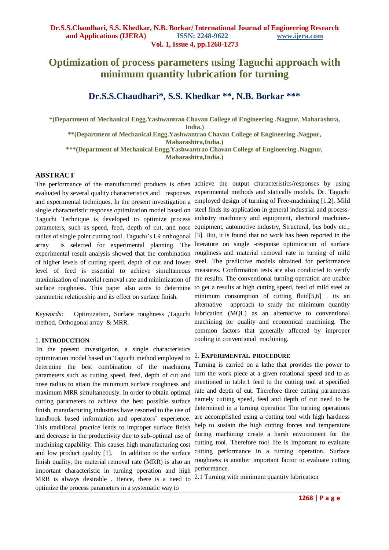# **Optimization of process parameters using Taguchi approach with minimum quantity lubrication for turning**

## **Dr.S.S.Chaudhari\* , S.S. Khedkar \*\*, N.B. Borkar \*\*\***

**\*(Department of Mechanical Engg.Yashwantrao Chavan College of Engineering .Nagpur, Maharashtra, India.) \*\*(Department of Mechanical Engg.Yashwantrao Chavan College of Engineering .Nagpur,** 

**Maharashtra,India.)**

**\*\*\*(Department of Mechanical Engg.Yashwantrao Chavan College of Engineering .Nagpur,**

**Maharashtra,India.)**

#### **ABSTRACT**

evaluated by several quality characteristics and responses experimental methods and statically models. Dr. Taguchi and experimental techniques. In the present investigation a employed design of turning of Free-machining [1,2]. Mild single characteristic response optimization model based on steel finds its application in general industrial and process-Taguchi Technique is developed to optimize process industry machinery and equipment, electrical machinesparameters, such as speed, feed, depth of cut, and nose equipment, automotive industry, Structural, bus body etc., radius of single point cutting tool. Taguchi's L9 orthogonal [3]. But, it is found that no work has been reported in the array is selected for experimental planning. The literature on single -response optimization of surface experimental result analysis showed that the combination roughness and material removal rate in turning of mild of higher levels of cutting speed, depth of cut and lower steel. The predictive models obtained for performance level of feed is essential to achieve simultaneous measures. Confirmation tests are also conducted to verify maximization of material removal rate and minimization of the results. The conventional turning operation are unable surface roughness. This paper also aims to determine to get a results at high cutting speed, feed of mild steel at parametric relationship and its effect on surface finish.

method, Orthogonal array & MRR.

#### 1.**INTRODUCTION**

In the present investigation, a single characteristics optimization model based on Taguchi method employed to determine the best combination of the machining parameters such as cutting speed, feed, depth of cut and nose radius to attain the minimum surface roughness and maximum MRR simultaneously. In order to obtain optimal cutting parameters to achieve the best possible surface finish, manufacturing industries have resorted to the use of handbook based information and operators' experience. This traditional practice leads to improper surface finish and decrease in the productivity due to sub-optimal use of machining capability. This causes high manufacturing cost and low product quality [1]. In addition to the surface finish quality, the material removal rate (MRR) is also an important characteristic in turning operation and high performance. MRR is always desirable. Hence, there is a need to 2.1 Turning with minimum quantity lubrication optimize the process parameters in a systematic way to

The performance of the manufactured products is often achieve the output characteristics/responses by using *Keywords*: Optimization, Surface roughness ,Taguchi lubrication (MQL) as an alternative to conventional minimum consumption of cutting fluid[5,6] . its an alternative approach to study the minimum quantity machining for quality and economical machining. The common factors that generally affected by improper cooling in conventional machining.

### 2. **EXPERIMENTAL PROCEDURE**

Turning is carried on a lathe that provides the power to turn the work piece at a given rotational speed and to as mentioned in table.1 feed to the cutting tool at specified rate and depth of cut. Therefore three cutting parameters namely cutting speed, feed and depth of cut need to be determined in a turning operation The turning operations are accomplished using a cutting tool with high hardness help to sustain the high cutting forces and temperature during machining create a harsh environment for the cutting tool. Therefore tool life is important to evaluate cutting performance in a turning operation. Surface roughness is another important factor to evaluate cutting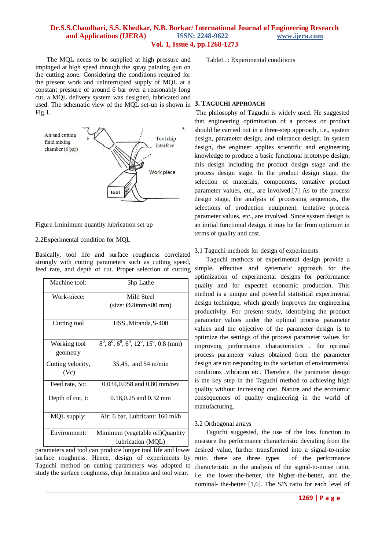The MQL needs to be supplied at high pressure and impinged at high speed through the spray painting gun on the cutting zone. Considering the conditions required for the present work and uninterrupted supply of MQL at a constant pressure of around 6 bar over a reasonably long cut, a MQL delivery system was designed, fabricated and used. The schematic view of the MQL set-up is shown in **3. TAGUCHI APPROACH** Fig 1.



Figure.1minimum quantity lubrication set up

#### 2.2Experimental condition for MQL

Basically, tool life and surface roughness correlated strongly with cutting parameters such as cutting speed,

| Machine tool:             | 3hp Lathe                                                    |
|---------------------------|--------------------------------------------------------------|
| Work-piece:               | Mild Steel                                                   |
|                           | $(size: \emptyset20mm \times 80mm)$                          |
| Cutting tool              | HSS, Miranda, S-400                                          |
| Working tool<br>geometry  | $8^0$ , $8^0$ , $6^0$ , $6^0$ , $12^0$ , $15^0$ , $0.8$ (mm) |
| Cutting velocity,<br>(Vc) | 35,45, and 54 m/min                                          |
| Feed rate, So:            | $0.034, 0.058$ and $0.80$ mm/rev                             |
| Depth of cut, t:          | $0.18, 0.25$ and $0.32$ mm                                   |
| MQL supply:               | Air: 6 bar, Lubricant: 160 ml/h                              |
| Environment:              | Minimum (vegetable oil)Quantity                              |
|                           | lubrication (MQL)                                            |

parameters and tool can produce longer tool life and lower surface roughness. Hence, design of experiments by Taguchi method on cutting parameters was adopted to study the surface roughness, chip formation and tool wear.

Table1. : Experimental conditions

The philosophy of Taguchi is widely used. He suggested that engineering optimization of a process or product should be carried out in a three-step approach, i.e., system design, parameter design, and tolerance design. In system design, the engineer applies scientific and engineering knowledge to produce a basic functional prototype design, this design including the product design stage and the process design stage. In the product design stage, the selection of materials, components, tentative product parameter values, etc., are involved.[7] As to the process design stage, the analysis of processing sequences, the selections of production equipment, tentative process parameter values, etc., are involved. Since system design is an initial functional design, it may be far from optimum in terms of quality and cost.

3.1 Taguchi methods for design of experiments

feed rate, and depth of cut. Proper selection of cutting simple, effective and systematic approach for the Taguchi methods of experimental design provide a optimization of experimental designs for performance quality and for expected economic production. This method is a unique and powerful statistical experimental design technique, which greatly improves the engineering productivity. For present study, identifying the product parameter values under the optimal process parameter values and the objective of the parameter design is to optimize the settings of the process parameter values for improving performance characteristics . the optimal process parameter values obtained from the parameter design are not responding to the variation of environmental conditions ,vibration etc. Therefore, the parameter design is the key step in the Taguchi method to achieving high quality without increasing cost. Nature and the economic consequences of quality engineering in the world of manufacturing.

#### 3.2 Orthogonal arrays

 Taguchi suggested, the use of the loss function to measure the performance characteristic deviating from the desired value, further transformed into a signal-to-noise ratio. there are three types of the performance characteristic in the analysis of the signal-to-noise ratio, i.e. the lower-the-better, the higher-the-better, and the nominal- the-better [1,6]. The S/N ratio for each level of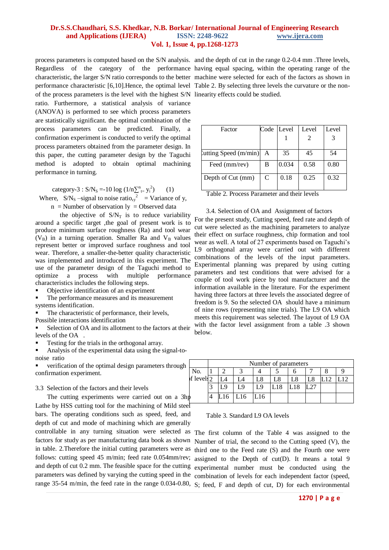process parameters is computed based on the S/N analysis. and the depth of cut in the range 0.2-0.4 mm .Three levels, Regardless of the category of the performance having equal spacing, within the operating range of the characteristic, the larger S/N ratio corresponds to the better machine were selected for each of the factors as shown in performance characteristic [6,10].Hence, the optimal level Table 2. By selecting three levels the curvature or the nonof the process parameters is the level with the highest S/N linearity effects could be studied. ratio. Furthermore, a statistical analysis of variance (ANOVA) is performed to see which process parameters are statistically significant. the optimal combination of the process parameters can be predicted. Finally, a confirmation experiment is conducted to verify the optimal process parameters obtained from the parameter design. In this paper, the cutting parameter design by the Taguchi method is adopted to obtain optimal machining performance in turning.

category-3 :  $S/N_s = -10 \log (1/n {\sum_{t=}^{n} y_i^2})$ ) (1) Where,  $S/N_s$  –signal to noise ratio,  $y^2$  = Variance of y,

 $n =$  Number of observation  $ly =$ Observed data

the objective of  $S/N_T$  is to reduce variability around a specific target ,the goal of present work is to produce minimum surface roughness (Ra) and tool wear  $(V_B)$  in a turning operation. Smaller Ra and  $V_B$  values represent better or improved surface roughness and tool wear. Therefore, a smaller-the-better quality characteristic was implemented and introduced in this experiment. The use of the parameter design of the Taguchi method to optimize a process with multiple performance characteristics includes the following steps.

- Objective identification of an experiment
- The performance measures and its measurement systems identification.
- The characteristic of performance, their levels,
- Possible interactions identification

 Selection of OA and its allotment to the factors at their levels of the OA .

Testing for the trials in the orthogonal array.

 Analysis of the experimental data using the signal-tonoise ratio

 verification of the optimal design parameters through confirmation experiment.

#### 3.3 Selection of the factors and their levels

The cutting experiments were carried out on a 3hp Lathe by HSS cutting tool for the machining of Mild steel bars. The operating conditions such as speed, feed, and depth of cut and mode of machining which are generally controllable in any turning situation were selected as The first column of the Table 4 was assigned to the factors for study as per manufacturing data book as shown parameters was defined by varying the cutting speed in the

| Factor                  | Code          | Level | Level | Level |
|-------------------------|---------------|-------|-------|-------|
|                         |               |       |       |       |
|                         |               |       |       |       |
| Lutting Speed $(m/min)$ | A             | 35    | 45    | 54    |
| Feed (mm/rev)           | В             | 0.034 | 0.58  | 0.80  |
| Depth of Cut (mm)       | $\mathcal{C}$ | 0.18  | 0.25  | 0.32  |

Table 2. Process Parameter and their levels

#### 3.4. Selection of OA and Assignment of factors

For the present study, Cutting speed, feed rate and depth of cut were selected as the machining parameters to analyze their effect on surface roughness, chip formation and tool wear as well. A total of 27 experiments based on Taguchi's L9 orthogonal array were carried out with different combinations of the levels of the input parameters. Experimental planning was prepared by using cutting parameters and test conditions that were advised for a couple of tool work piece by tool manufacturer and the information available in the literature. For the experiment having three factors at three levels the associated degree of freedom is 9. So the selected OA should have a minimum of nine rows (representing nine trials). The L9 OA which meets this requirement was selected. The layout of L9 OA with the factor level assignment from a table .3 shown below.

| h  |                         | Number of parameters |     |     |     |     |  |  |  |  |
|----|-------------------------|----------------------|-----|-----|-----|-----|--|--|--|--|
|    | No.                     |                      |     |     |     |     |  |  |  |  |
|    | f levels $\overline{2}$ |                      |     | -8  | ∟8  |     |  |  |  |  |
|    |                         | 9.                   | ΙQ  | Ĺ9  | 18۔ | L18 |  |  |  |  |
| hp |                         |                      | -16 | -16 |     |     |  |  |  |  |

#### Table 3. Standard L9 OA levels

in table. 2.Therefore the initial cutting parameters were as third one to the Feed rate (S) and the Fourth one were follows: cutting speed 45 m/min; feed rate 0.054mm/rev; assigned to the Depth of cut(D). It means a total 9 and depth of cut 0.2 mm. The feasible space for the cutting experimental number must be conducted using the range 35-54 m/min, the feed rate in the range 0.034-0.80, S; feed, F and depth of cut, D) for each environmental Number of trial, the second to the Cutting speed (V), the combination of levels for each independent factor (speed,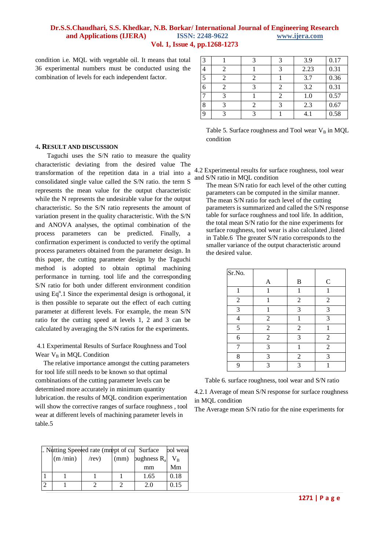condition i.e. MQL with vegetable oil. It means that total 36 experimental numbers must be conducted using the combination of levels for each independent factor.

| 3 |  | 3 | 3.9  | 0.17 |
|---|--|---|------|------|
|   |  |   | 2.23 | 0.31 |
| 5 |  |   | 3.7  | 0.36 |
| 6 |  | 2 | 3.2  | 0.31 |
|   |  | 2 | 1.0  | 0.57 |
| 8 |  |   | 2.3  | 0.67 |
| 9 |  |   | 4.1  | 0.58 |

| Table 5. Surface roughness and Tool wear $V_B$ in MQL |  |  |
|-------------------------------------------------------|--|--|
| condition                                             |  |  |

#### 4**. RESULT AND DISCUSSION**

Taguchi uses the S/N ratio to measure the quality characteristic deviating from the desired value The transformation of the repetition data in a trial into a consolidated single value called the S/N ratio. the term S represents the mean value for the output characteristic while the N represents the undesirable value for the output characteristic. So the S/N ratio represents the amount of variation present in the quality characteristic. With the S/N and ANOVA analyses, the optimal combination of the process parameters can be predicted. Finally, a confirmation experiment is conducted to verify the optimal process parameters obtained from the parameter design. In this paper, the cutting parameter design by the Taguchi method is adopted to obtain optimal machining performance in turning. tool life and the corresponding S/N ratio for both under different environment condition using  $Eq<sup>n</sup>$ .1 Since the experimental design is orthogonal, it is then possible to separate out the effect of each cutting parameter at different levels. For example, the mean S/N ratio for the cutting speed at levels 1, 2 and 3 can be calculated by averaging the S/N ratios for the experiments.

4.1 Experimental Results of Surface Roughness and Tool Wear  $V_B$  in MQL Condition

 The relative importance amongst the cutting parameters for tool life still needs to be known so that optimal combinations of the cutting parameter levels can be determined more accurately in minimum quantity lubrication. the results of MQL condition experimentation will show the corrective ranges of surface roughness , tool wear at different levels of machining parameter levels in table.5

|  |         | I. Nutting Speeded rate (mnept of cu Surface |      |                | pol wear  |
|--|---------|----------------------------------------------|------|----------------|-----------|
|  | (m/min) | $r$ ev                                       | (mm) | oughness $R_a$ | $\rm V_R$ |
|  |         |                                              |      | mm             | Mm        |
|  |         |                                              |      | 1.65           | 0.18      |
|  |         |                                              |      |                |           |

4.2 Experimental results for surface roughness, tool wear and S/N ratio in MQL condition

The mean S/N ratio for each level of the other cutting parameters can be computed in the similar manner. The mean S/N ratio for each level of the cutting parameters is summarized and called the S/N response table for surface roughness and tool life. In addition, the total mean S/N ratio for the nine experiments for surface roughness, tool wear is also calculated ,listed in Table.6 The greater S/N ratio corresponds to the smaller variance of the output characteristic around the desired value.

| Sr.No.         |                |                |                |
|----------------|----------------|----------------|----------------|
|                | A              | B              | $\mathbf C$    |
| 1              |                |                |                |
| $\overline{2}$ | 1              | $\overline{2}$ | $\overline{2}$ |
| 3              |                | 3              | 3              |
| 4              | $\overline{2}$ |                | 3              |
| 5              | $\overline{2}$ | $\overline{2}$ |                |
| 6              | $\overline{2}$ | 3              | $\overline{2}$ |
|                | 3              |                | $\overline{2}$ |
| 8              | 3              | $\overline{2}$ | 3              |
| 9              | $\mathbf{3}$   | $\mathcal{R}$  |                |

Table 6. surface roughness, tool wear and S/N ratio

4.2.1 Average of mean S/N response for surface roughness in MQL condition

The Average mean S/N ratio for the nine experiments for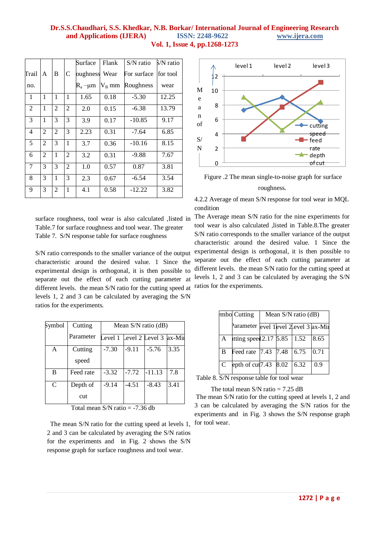|                |                |                |                | Surface       | Flank    | $S/N$ ratio | S/N ratio |
|----------------|----------------|----------------|----------------|---------------|----------|-------------|-----------|
| Trail          | A              | B              | C              | oughness      | Wear     | For surface | for tool  |
| no.            |                |                |                | $R_a - \mu m$ | $V_B$ mm | Roughness   | wear      |
| 1              | 1              | $\mathbf{1}$   | 1              | 1.65          | 0.18     | $-5.30$     | 12.25     |
| $\overline{2}$ | 1              | $\overline{2}$ | 2              | 2.0           | 0.15     | $-6.38$     | 13.79     |
| 3              | 1              | 3              | 3              | 3.9           | 0.17     | $-10.85$    | 9.17      |
| $\overline{4}$ | $\overline{2}$ | $\overline{2}$ | 3              | 2.23          | 0.31     | $-7.64$     | 6.85      |
| 5              | 2              | 3              | 1              | 3.7           | 0.36     | $-10.16$    | 8.15      |
| 6              | $\overline{2}$ | $\mathbf{1}$   | $\overline{2}$ | 3.2           | 0.31     | $-9.88$     | 7.67      |
| 7              | 3              | 3              | $\overline{2}$ | 1.0           | 0.57     | 0.87        | 3.81      |
| 8              | 3              | $\mathbf{1}$   | 3              | 2.3           | 0.67     | $-6.54$     | 3.54      |
| 9              | 3              | 2              | 1              | 4.1           | 0.58     | $-12.22$    | 3.82      |

Table.7 for surface roughness and tool wear. The greater Table 7. S/N response table for surface roughness

S/N ratio corresponds to the smaller variance of the output characteristic around the desired value. 1 Since the experimental design is orthogonal, it is then possible to separate out the effect of each cutting parameter at different levels. the mean S/N ratio for the cutting speed at ratios for the experiments. levels 1, 2 and 3 can be calculated by averaging the S/N ratios for the experiments.

| Symbol | Cutting          | Mean $S/N$ ratio (dB) |         |                            |      |  |  |
|--------|------------------|-----------------------|---------|----------------------------|------|--|--|
|        | Parameter        | evel 1                |         | $Level 2 Level 3   ax-Mii$ |      |  |  |
| A      | Cutting<br>speed | $-7.30$               | $-9.11$ | $-5.76$                    | 3.35 |  |  |
| B      | Feed rate        | $-3.32$               | $-7.72$ | $-11.13$                   | 7.8  |  |  |
| C      | Depth of<br>cut  | $-9.14$               | $-4.51$ | $-8.43$                    | 3.41 |  |  |

Total mean S/N ratio = -7.36 db

 The mean S/N ratio for the cutting speed at levels 1, 2 and 3 can be calculated by averaging the S/N ratios for the experiments and in Fig. 2 shows the S/N response graph for surface roughness and tool wear.





4.2.2 Average of mean S/N response for tool wear in MQL condition

surface roughness, tool wear is also calculated ,listed in The Average mean S/N ratio for the nine experiments for tool wear is also calculated ,listed in Table.8.The greater S/N ratio corresponds to the smaller variance of the output characteristic around the desired value. 1 Since the experimental design is orthogonal, it is then possible to separate out the effect of each cutting parameter at different levels. the mean S/N ratio for the cutting speed at levels 1, 2 and 3 can be calculated by averaging the S/N

|   | mbo Cutting                                                                              | Mean $S/N$ ratio (dB) |  |  |      |  |
|---|------------------------------------------------------------------------------------------|-----------------------|--|--|------|--|
|   | Parameter evel 1 evel 2 evel 3 ax-Min                                                    |                       |  |  |      |  |
| A | tting speed 2.17 5.85   1.52                                                             |                       |  |  | 8.65 |  |
| B | Feed rate $\begin{array}{ c c c c c c } \hline 7.43 & 7.48 & 6.75 \\ \hline \end{array}$ |                       |  |  | 0.71 |  |
| C | epth of cut <sub>7.43</sub> 8.02 6.32                                                    |                       |  |  | 0.9  |  |

Table 8. S/N response table for tool wear

The total mean  $S/N$  ratio = 7.25 dB

The mean S/N ratio for the cutting speed at levels 1, 2 and 3 can be calculated by averaging the S/N ratios for the experiments and in Fig. 3 shows the S/N response graph for tool wear.